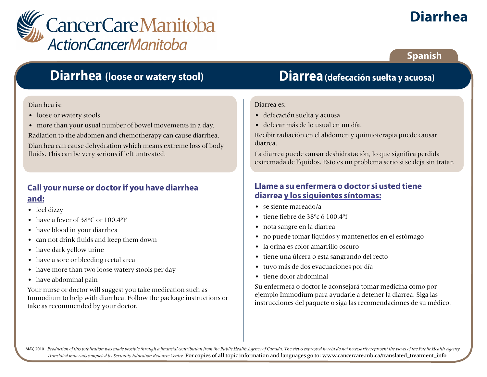

# **Diarrhea**

### **Spanish**

## **Diarrhea (loose or watery stool)**

#### Diarrhea is:

- loose or watery stools
- more than your usual number of bowel movements in a day.

Radiation to the abdomen and chemotherapy can cause diarrhea.

Diarrhea can cause dehydration which means extreme loss of body fluids. This can be very serious if left untreated.

## **Call your nurse or doctor if you have diarrhea and:**

- feel dizzy
- have a fever of 38°C or 100 4°F
- have blood in your diarrhea
- can not drink fluids and keep them down
- have dark yellow urine
- have a sore or bleeding rectal area
- have more than two loose watery stools per day
- have abdominal pain

Your nurse or doctor will suggest you take medication such as Immodium to help with diarrhea. Follow the package instructions or take as recommended by your doctor.

## **Diarrea(defecación suelta y acuosa)**

#### Diarrea es:

- defecación suelta y acuosa
- defecar más de lo usual en un día.

Recibir radiación en el abdomen y quimioterapia puede causar diarrea.

La diarrea puede causar deshidratación, lo que significa perdida extremada de líquidos. Esto es un problema serio si se deja sin tratar.

### **Llame a su enfermera o doctor si usted tiene diarrea y los siguientes síntomas:**

- se siente mareado/a
- tiene fiebre de 38ºc ó 100.4ºf
- nota sangre en la diarrea
- no puede tomar líquidos y mantenerlos en el estómago
- la orina es color amarrillo oscuro
- tiene una úlcera o esta sangrando del recto
- tuvo más de dos evacuaciones por día
- tiene dolor abdominal

Su enfermera o doctor le aconsejará tomar medicina como por ejemplo Immodium para ayudarle a detener la diarrea. Siga las instrucciones del paquete o siga las recomendaciones de su médico.

MAY, 2010 Production of this publication was made possible through a financial contribution from the Public Health Agency of Canada. The views expressed herein do not necessarily represent the views of the Public Health Ag *Translated materials completed by Sexuality Education Resource Centre.* For copies of all topic information and languages go to: www.cancercare.mb.ca/translated\_treatment\_info